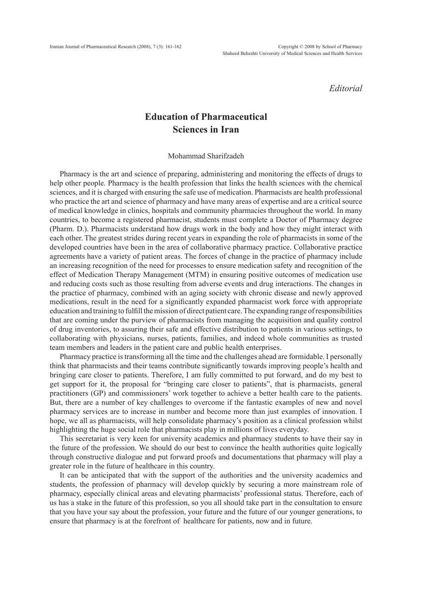*Editorial*

## **Education of Pharmaceutical Sciences in Iran**

## Mohammad Sharifzadeh

Pharmacy is the art and science of preparing, administering and monitoring the effects of drugs to help other people. Pharmacy is the health profession that links the health sciences with the chemical sciences, and it is charged with ensuring the safe use of medication. Pharmacists are health professional who practice the art and science of pharmacy and have many areas of expertise and are a critical source of medical knowledge in clinics, hospitals and community pharmacies throughout the world. In many countries, to become a registered pharmacist, students must complete a Doctor of Pharmacy degree (Pharm. D.). Pharmacists understand how drugs work in the body and how they might interact with each other. The greatest strides during recent years in expanding the role of pharmacists in some of the developed countries have been in the area of collaborative pharmacy practice. Collaborative practice agreements have a variety of patient areas. The forces of change in the practice of pharmacy include an increasing recognition of the need for processes to ensure medication safety and recognition of the effect of Medication Therapy Management (MTM) in ensuring positive outcomes of medication use and reducing costs such as those resulting from adverse events and drug interactions. The changes in the practice of pharmacy, combined with an aging society with chronic disease and newly approved medications, result in the need for a significantly expanded pharmacist work force with appropriate education and training to fulfill the mission of direct patient care. The expanding range of responsibilities that are coming under the purview of pharmacists from managing the acquisition and quality control of drug inventories, to assuring their safe and effective distribution to patients in various settings, to collaborating with physicians, nurses, patients, families, and indeed whole communities as trusted team members and leaders in the patient care and public health enterprises.

Pharmacy practice is transforming all the time and the challenges ahead are formidable. I personally think that pharmacists and their teams contribute significantly towards improving people's health and bringing care closer to patients. Therefore, I am fully committed to put forward, and do my best to get support for it, the proposal for "bringing care closer to patients", that is pharmacists, general practitioners (GP) and commissioners' work together to achieve a better health care to the patients. But, there are a number of key challenges to overcome if the fantastic examples of new and novel pharmacy services are to increase in number and become more than just examples of innovation. I hope, we all as pharmacists, will help consolidate pharmacy's position as a clinical profession whilst highlighting the huge social role that pharmacists play in millions of lives everyday.

This secretariat is very keen for university academics and pharmacy students to have their say in the future of the profession. We should do our best to convince the health authorities quite logically through constructive dialogue and put forward proofs and documentations that pharmacy will play a greater role in the future of healthcare in this country.

It can be anticipated that with the support of the authorities and the university academics and students, the profession of pharmacy will develop quickly by securing a more mainstream role of pharmacy, especially clinical areas and elevating pharmacists' professional status. Therefore, each of us has a stake in the future of this profession, so you all should take part in the consultation to ensure that you have your say about the profession, your future and the future of our younger generations, to ensure that pharmacy is at the forefront of healthcare for patients, now and in future.